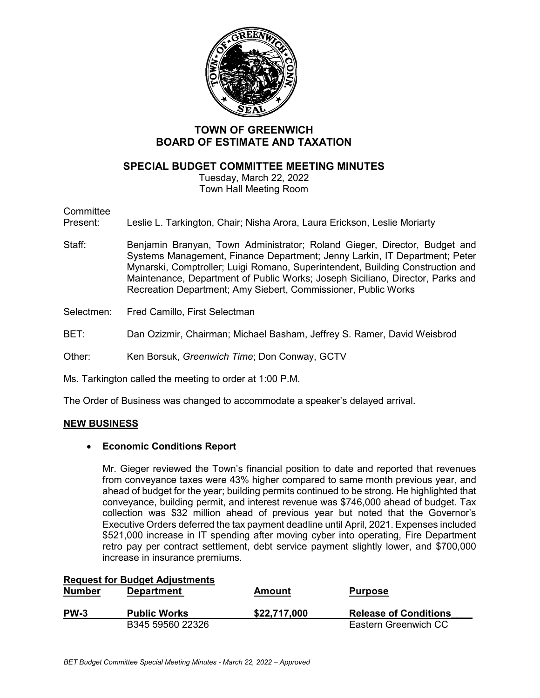

# **TOWN OF GREENWICH BOARD OF ESTIMATE AND TAXATION**

## **SPECIAL BUDGET COMMITTEE MEETING MINUTES**

Tuesday, March 22, 2022 Town Hall Meeting Room

### **Committee**

Present: Leslie L. Tarkington, Chair; Nisha Arora, Laura Erickson, Leslie Moriarty

- Staff: Benjamin Branyan, Town Administrator; Roland Gieger, Director, Budget and Systems Management, Finance Department; Jenny Larkin, IT Department; Peter Mynarski, Comptroller; Luigi Romano, Superintendent, Building Construction and Maintenance, Department of Public Works; Joseph Siciliano, Director, Parks and Recreation Department; Amy Siebert, Commissioner, Public Works
- Selectmen: Fred Camillo, First Selectman
- BET: Dan Ozizmir, Chairman; Michael Basham, Jeffrey S. Ramer, David Weisbrod

Other: Ken Borsuk, *Greenwich Time*; Don Conway, GCTV

Ms. Tarkington called the meeting to order at 1:00 P.M.

The Order of Business was changed to accommodate a speaker's delayed arrival.

#### **NEW BUSINESS**

#### • **Economic Conditions Report**

Mr. Gieger reviewed the Town's financial position to date and reported that revenues from conveyance taxes were 43% higher compared to same month previous year, and ahead of budget for the year; building permits continued to be strong. He highlighted that conveyance, building permit, and interest revenue was \$746,000 ahead of budget. Tax collection was \$32 million ahead of previous year but noted that the Governor's Executive Orders deferred the tax payment deadline until April, 2021. Expenses included \$521,000 increase in IT spending after moving cyber into operating, Fire Department retro pay per contract settlement, debt service payment slightly lower, and \$700,000 increase in insurance premiums.

| <b>Number</b> | <b>Request for Budget Adjustments</b><br><b>Department</b> | Amount       | <b>Purpose</b>               |
|---------------|------------------------------------------------------------|--------------|------------------------------|
| <b>PW-3</b>   | <b>Public Works</b>                                        | \$22,717,000 | <b>Release of Conditions</b> |
|               | B345 59560 22326                                           |              | Eastern Greenwich CC         |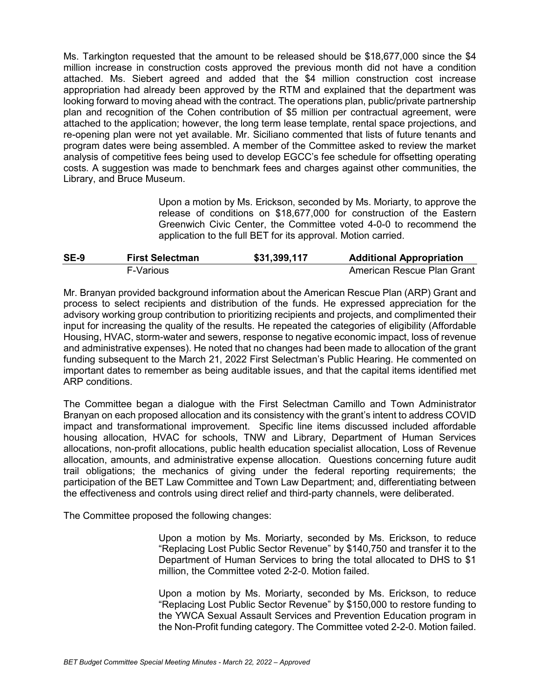Ms. Tarkington requested that the amount to be released should be \$18,677,000 since the \$4 million increase in construction costs approved the previous month did not have a condition attached. Ms. Siebert agreed and added that the \$4 million construction cost increase appropriation had already been approved by the RTM and explained that the department was looking forward to moving ahead with the contract. The operations plan, public/private partnership plan and recognition of the Cohen contribution of \$5 million per contractual agreement, were attached to the application; however, the long term lease template, rental space projections, and re-opening plan were not yet available. Mr. Siciliano commented that lists of future tenants and program dates were being assembled. A member of the Committee asked to review the market analysis of competitive fees being used to develop EGCC's fee schedule for offsetting operating costs. A suggestion was made to benchmark fees and charges against other communities, the Library, and Bruce Museum.

> Upon a motion by Ms. Erickson, seconded by Ms. Moriarty, to approve the release of conditions on \$18,677,000 for construction of the Eastern Greenwich Civic Center, the Committee voted 4-0-0 to recommend the application to the full BET for its approval. Motion carried.

| <b>SE-9</b> | <b>First Selectman</b> | \$31,399,117 | <b>Additional Appropriation</b> |
|-------------|------------------------|--------------|---------------------------------|
|             | F-Various              |              | American Rescue Plan Grant      |

Mr. Branyan provided background information about the American Rescue Plan (ARP) Grant and process to select recipients and distribution of the funds. He expressed appreciation for the advisory working group contribution to prioritizing recipients and projects, and complimented their input for increasing the quality of the results. He repeated the categories of eligibility (Affordable Housing, HVAC, storm-water and sewers, response to negative economic impact, loss of revenue and administrative expenses). He noted that no changes had been made to allocation of the grant funding subsequent to the March 21, 2022 First Selectman's Public Hearing. He commented on important dates to remember as being auditable issues, and that the capital items identified met ARP conditions.

The Committee began a dialogue with the First Selectman Camillo and Town Administrator Branyan on each proposed allocation and its consistency with the grant's intent to address COVID impact and transformational improvement. Specific line items discussed included affordable housing allocation, HVAC for schools, TNW and Library, Department of Human Services allocations, non-profit allocations, public health education specialist allocation, Loss of Revenue allocation, amounts, and administrative expense allocation. Questions concerning future audit trail obligations; the mechanics of giving under the federal reporting requirements; the participation of the BET Law Committee and Town Law Department; and, differentiating between the effectiveness and controls using direct relief and third-party channels, were deliberated.

The Committee proposed the following changes:

Upon a motion by Ms. Moriarty, seconded by Ms. Erickson, to reduce "Replacing Lost Public Sector Revenue" by \$140,750 and transfer it to the Department of Human Services to bring the total allocated to DHS to \$1 million, the Committee voted 2-2-0. Motion failed.

Upon a motion by Ms. Moriarty, seconded by Ms. Erickson, to reduce "Replacing Lost Public Sector Revenue" by \$150,000 to restore funding to the YWCA Sexual Assault Services and Prevention Education program in the Non-Profit funding category. The Committee voted 2-2-0. Motion failed.